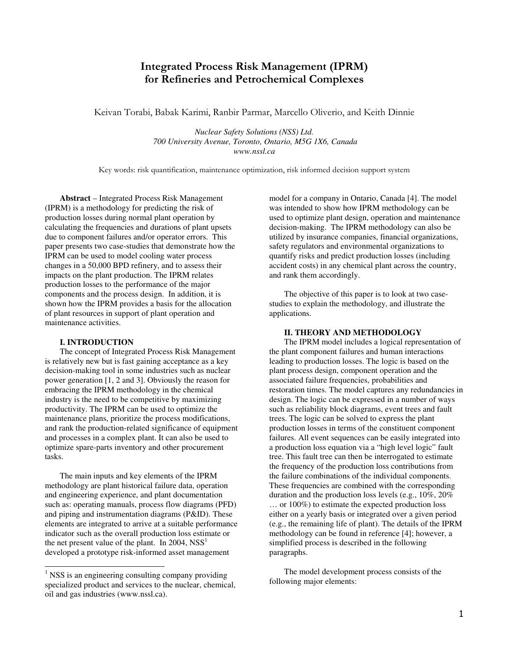# Integrated Process Risk Management (IPRM) for Refineries and Petrochemical Complexes

Keivan Torabi, Babak Karimi, Ranbir Parmar, Marcello Oliverio, and Keith Dinnie

*Nuclear Safety Solutions (NSS) Ltd. 700 University Avenue, Toronto, Ontario, M5G 1X6, Canada www.nssl.ca* 

Key words: risk quantification, maintenance optimization, risk informed decision support system

**Abstract** – Integrated Process Risk Management (IPRM) is a methodology for predicting the risk of production losses during normal plant operation by calculating the frequencies and durations of plant upsets due to component failures and/or operator errors. This paper presents two case-studies that demonstrate how the IPRM can be used to model cooling water process changes in a 50,000 BPD refinery, and to assess their impacts on the plant production. The IPRM relates production losses to the performance of the major components and the process design. In addition, it is shown how the IPRM provides a basis for the allocation of plant resources in support of plant operation and maintenance activities.

#### **I. INTRODUCTION**

-

The concept of Integrated Process Risk Management is relatively new but is fast gaining acceptance as a key decision-making tool in some industries such as nuclear power generation [1, 2 and 3]. Obviously the reason for embracing the IPRM methodology in the chemical industry is the need to be competitive by maximizing productivity. The IPRM can be used to optimize the maintenance plans, prioritize the process modifications, and rank the production-related significance of equipment and processes in a complex plant. It can also be used to optimize spare-parts inventory and other procurement tasks.

The main inputs and key elements of the IPRM methodology are plant historical failure data, operation and engineering experience, and plant documentation such as: operating manuals, process flow diagrams (PFD) and piping and instrumentation diagrams (P&ID). These elements are integrated to arrive at a suitable performance indicator such as the overall production loss estimate or the net present value of the plant. In 2004,  $NSS<sup>1</sup>$ developed a prototype risk-informed asset management

model for a company in Ontario, Canada [4]. The model was intended to show how IPRM methodology can be used to optimize plant design, operation and maintenance decision-making. The IPRM methodology can also be utilized by insurance companies, financial organizations, safety regulators and environmental organizations to quantify risks and predict production losses (including accident costs) in any chemical plant across the country, and rank them accordingly.

The objective of this paper is to look at two casestudies to explain the methodology, and illustrate the applications.

#### **II. THEORY AND METHODOLOGY**

The IPRM model includes a logical representation of the plant component failures and human interactions leading to production losses. The logic is based on the plant process design, component operation and the associated failure frequencies, probabilities and restoration times. The model captures any redundancies in design. The logic can be expressed in a number of ways such as reliability block diagrams, event trees and fault trees. The logic can be solved to express the plant production losses in terms of the constituent component failures. All event sequences can be easily integrated into a production loss equation via a "high level logic" fault tree. This fault tree can then be interrogated to estimate the frequency of the production loss contributions from the failure combinations of the individual components. These frequencies are combined with the corresponding duration and the production loss levels (e.g., 10%, 20% … or 100%) to estimate the expected production loss either on a yearly basis or integrated over a given period (e.g., the remaining life of plant). The details of the IPRM methodology can be found in reference [4]; however, a simplified process is described in the following paragraphs.

The model development process consists of the following major elements:

<sup>&</sup>lt;sup>1</sup> NSS is an engineering consulting company providing specialized product and services to the nuclear, chemical, oil and gas industries (www.nssl.ca).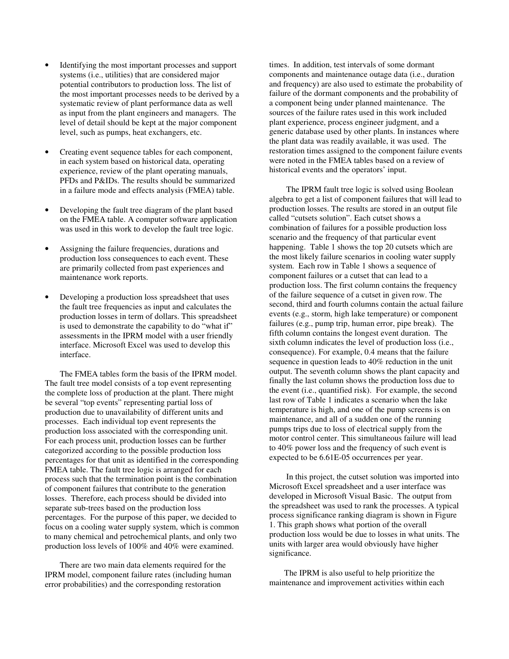- Identifying the most important processes and support systems (i.e., utilities) that are considered major potential contributors to production loss. The list of the most important processes needs to be derived by a systematic review of plant performance data as well as input from the plant engineers and managers. The level of detail should be kept at the major component level, such as pumps, heat exchangers, etc.
- Creating event sequence tables for each component, in each system based on historical data, operating experience, review of the plant operating manuals, PFDs and P&IDs. The results should be summarized in a failure mode and effects analysis (FMEA) table.
- Developing the fault tree diagram of the plant based on the FMEA table. A computer software application was used in this work to develop the fault tree logic.
- Assigning the failure frequencies, durations and production loss consequences to each event. These are primarily collected from past experiences and maintenance work reports.
- Developing a production loss spreadsheet that uses the fault tree frequencies as input and calculates the production losses in term of dollars. This spreadsheet is used to demonstrate the capability to do "what if" assessments in the IPRM model with a user friendly interface. Microsoft Excel was used to develop this interface.

The FMEA tables form the basis of the IPRM model. The fault tree model consists of a top event representing the complete loss of production at the plant. There might be several "top events" representing partial loss of production due to unavailability of different units and processes. Each individual top event represents the production loss associated with the corresponding unit. For each process unit, production losses can be further categorized according to the possible production loss percentages for that unit as identified in the corresponding FMEA table. The fault tree logic is arranged for each process such that the termination point is the combination of component failures that contribute to the generation losses. Therefore, each process should be divided into separate sub-trees based on the production loss percentages. For the purpose of this paper, we decided to focus on a cooling water supply system, which is common to many chemical and petrochemical plants, and only two production loss levels of 100% and 40% were examined.

There are two main data elements required for the IPRM model, component failure rates (including human error probabilities) and the corresponding restoration

times. In addition, test intervals of some dormant components and maintenance outage data (i.e., duration and frequency) are also used to estimate the probability of failure of the dormant components and the probability of a component being under planned maintenance. The sources of the failure rates used in this work included plant experience, process engineer judgment, and a generic database used by other plants. In instances where the plant data was readily available, it was used. The restoration times assigned to the component failure events were noted in the FMEA tables based on a review of historical events and the operators' input.

 The IPRM fault tree logic is solved using Boolean algebra to get a list of component failures that will lead to production losses. The results are stored in an output file called "cutsets solution". Each cutset shows a combination of failures for a possible production loss scenario and the frequency of that particular event happening. Table 1 shows the top 20 cutsets which are the most likely failure scenarios in cooling water supply system. Each row in Table 1 shows a sequence of component failures or a cutset that can lead to a production loss. The first column contains the frequency of the failure sequence of a cutset in given row. The second, third and fourth columns contain the actual failure events (e.g., storm, high lake temperature) or component failures (e.g., pump trip, human error, pipe break). The fifth column contains the longest event duration. The sixth column indicates the level of production loss (i.e., consequence). For example, 0.4 means that the failure sequence in question leads to 40% reduction in the unit output. The seventh column shows the plant capacity and finally the last column shows the production loss due to the event (i.e., quantified risk). For example, the second last row of Table 1 indicates a scenario when the lake temperature is high, and one of the pump screens is on maintenance, and all of a sudden one of the running pumps trips due to loss of electrical supply from the motor control center. This simultaneous failure will lead to 40% power loss and the frequency of such event is expected to be 6.61E-05 occurrences per year.

In this project, the cutset solution was imported into Microsoft Excel spreadsheet and a user interface was developed in Microsoft Visual Basic. The output from the spreadsheet was used to rank the processes. A typical process significance ranking diagram is shown in Figure 1. This graph shows what portion of the overall production loss would be due to losses in what units. The units with larger area would obviously have higher significance.

The IPRM is also useful to help prioritize the maintenance and improvement activities within each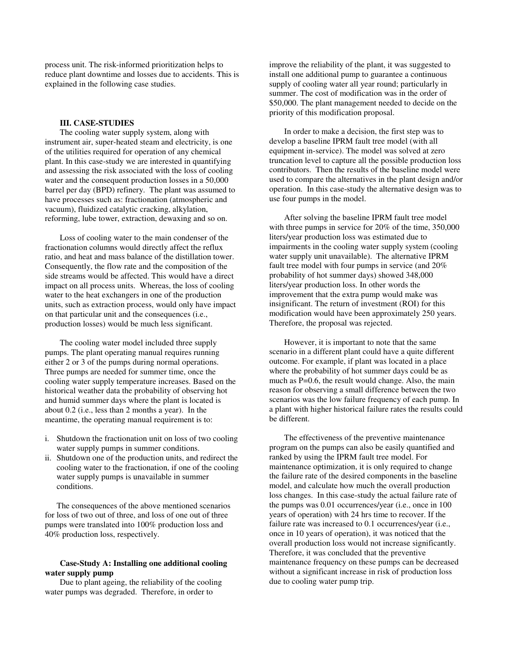process unit. The risk-informed prioritization helps to reduce plant downtime and losses due to accidents. This is explained in the following case studies.

### **III. CASE-STUDIES**

The cooling water supply system, along with instrument air, super-heated steam and electricity, is one of the utilities required for operation of any chemical plant. In this case-study we are interested in quantifying and assessing the risk associated with the loss of cooling water and the consequent production losses in a 50,000 barrel per day (BPD) refinery. The plant was assumed to have processes such as: fractionation (atmospheric and vacuum), fluidized catalytic cracking, alkylation, reforming, lube tower, extraction, dewaxing and so on.

Loss of cooling water to the main condenser of the fractionation columns would directly affect the reflux ratio, and heat and mass balance of the distillation tower. Consequently, the flow rate and the composition of the side streams would be affected. This would have a direct impact on all process units. Whereas, the loss of cooling water to the heat exchangers in one of the production units, such as extraction process, would only have impact on that particular unit and the consequences (i.e., production losses) would be much less significant.

The cooling water model included three supply pumps. The plant operating manual requires running either 2 or 3 of the pumps during normal operations. Three pumps are needed for summer time, once the cooling water supply temperature increases. Based on the historical weather data the probability of observing hot and humid summer days where the plant is located is about 0.2 (i.e., less than 2 months a year). In the meantime, the operating manual requirement is to:

- i. Shutdown the fractionation unit on loss of two cooling water supply pumps in summer conditions.
- ii. Shutdown one of the production units, and redirect the cooling water to the fractionation, if one of the cooling water supply pumps is unavailable in summer conditions.

The consequences of the above mentioned scenarios for loss of two out of three, and loss of one out of three pumps were translated into 100% production loss and 40% production loss, respectively.

### **Case-Study A: Installing one additional cooling water supply pump**

Due to plant ageing, the reliability of the cooling water pumps was degraded. Therefore, in order to

improve the reliability of the plant, it was suggested to install one additional pump to guarantee a continuous supply of cooling water all year round; particularly in summer. The cost of modification was in the order of \$50,000. The plant management needed to decide on the priority of this modification proposal.

In order to make a decision, the first step was to develop a baseline IPRM fault tree model (with all equipment in-service). The model was solved at zero truncation level to capture all the possible production loss contributors. Then the results of the baseline model were used to compare the alternatives in the plant design and/or operation. In this case-study the alternative design was to use four pumps in the model.

After solving the baseline IPRM fault tree model with three pumps in service for 20% of the time, 350,000 liters/year production loss was estimated due to impairments in the cooling water supply system (cooling water supply unit unavailable). The alternative IPRM fault tree model with four pumps in service (and 20% probability of hot summer days) showed 348,000 liters/year production loss. In other words the improvement that the extra pump would make was insignificant. The return of investment (ROI) for this modification would have been approximately 250 years. Therefore, the proposal was rejected.

However, it is important to note that the same scenario in a different plant could have a quite different outcome. For example, if plant was located in a place where the probability of hot summer days could be as much as P=0.6, the result would change. Also, the main reason for observing a small difference between the two scenarios was the low failure frequency of each pump. In a plant with higher historical failure rates the results could be different.

The effectiveness of the preventive maintenance program on the pumps can also be easily quantified and ranked by using the IPRM fault tree model. For maintenance optimization, it is only required to change the failure rate of the desired components in the baseline model, and calculate how much the overall production loss changes. In this case-study the actual failure rate of the pumps was 0.01 occurrences/year (i.e., once in 100 years of operation) with 24 hrs time to recover. If the failure rate was increased to 0.1 occurrences/year (i.e., once in 10 years of operation), it was noticed that the overall production loss would not increase significantly. Therefore, it was concluded that the preventive maintenance frequency on these pumps can be decreased without a significant increase in risk of production loss due to cooling water pump trip.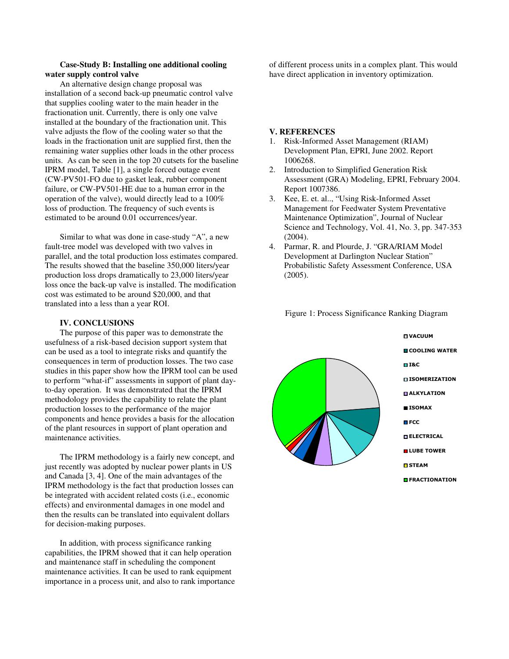## **Case-Study B: Installing one additional cooling water supply control valve**

An alternative design change proposal was installation of a second back-up pneumatic control valve that supplies cooling water to the main header in the fractionation unit. Currently, there is only one valve installed at the boundary of the fractionation unit. This valve adjusts the flow of the cooling water so that the loads in the fractionation unit are supplied first, then the remaining water supplies other loads in the other process units. As can be seen in the top 20 cutsets for the baseline IPRM model, Table [1], a single forced outage event (CW-PV501-FO due to gasket leak, rubber component failure, or CW-PV501-HE due to a human error in the operation of the valve), would directly lead to a 100% loss of production. The frequency of such events is estimated to be around 0.01 occurrences/year.

Similar to what was done in case-study "A", a new fault-tree model was developed with two valves in parallel, and the total production loss estimates compared. The results showed that the baseline 350,000 liters/year production loss drops dramatically to 23,000 liters/year loss once the back-up valve is installed. The modification cost was estimated to be around \$20,000, and that translated into a less than a year ROI.

#### **IV. CONCLUSIONS**

The purpose of this paper was to demonstrate the usefulness of a risk-based decision support system that can be used as a tool to integrate risks and quantify the consequences in term of production losses. The two case studies in this paper show how the IPRM tool can be used to perform "what-if" assessments in support of plant dayto-day operation. It was demonstrated that the IPRM methodology provides the capability to relate the plant production losses to the performance of the major components and hence provides a basis for the allocation of the plant resources in support of plant operation and maintenance activities.

The IPRM methodology is a fairly new concept, and just recently was adopted by nuclear power plants in US and Canada [3, 4]. One of the main advantages of the IPRM methodology is the fact that production losses can be integrated with accident related costs (i.e., economic effects) and environmental damages in one model and then the results can be translated into equivalent dollars for decision-making purposes.

In addition, with process significance ranking capabilities, the IPRM showed that it can help operation and maintenance staff in scheduling the component maintenance activities. It can be used to rank equipment importance in a process unit, and also to rank importance

of different process units in a complex plant. This would have direct application in inventory optimization.

#### **V. REFERENCES**

- 1. Risk-Informed Asset Management (RIAM) Development Plan, EPRI, June 2002. Report 1006268.
- 2. Introduction to Simplified Generation Risk Assessment (GRA) Modeling, EPRI, February 2004. Report 1007386.
- 3. Kee, E. et. al.., "Using Risk-Informed Asset Management for Feedwater System Preventative Maintenance Optimization", Journal of Nuclear Science and Technology, Vol. 41, No. 3, pp. 347-353 (2004).
- 4. Parmar, R. and Plourde, J. "GRA/RIAM Model Development at Darlington Nuclear Station" Probabilistic Safety Assessment Conference, USA (2005).



Figure 1: Process Significance Ranking Diagram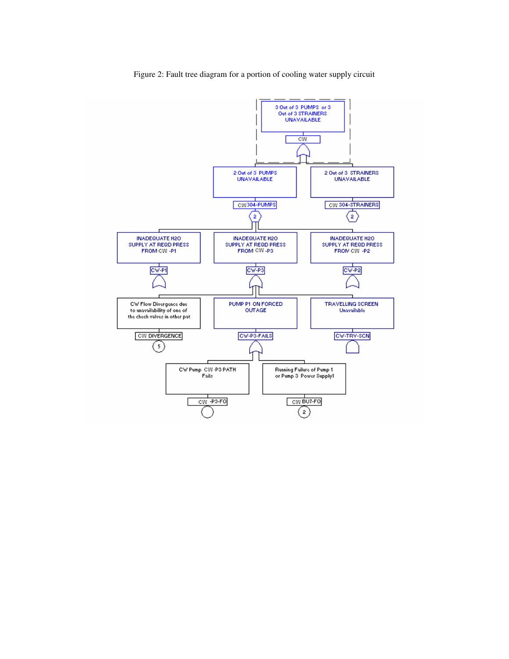

Figure 2: Fault tree diagram for a portion of cooling water supply circuit